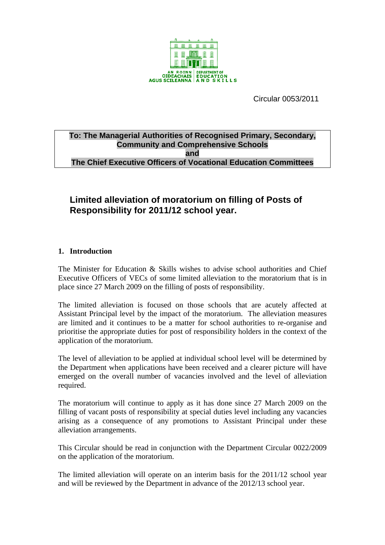

Circular 0053/2011

## **To: The Managerial Authorities of Recognised Primary, Secondary, Community and Comprehensive Schools and The Chief Executive Officers of Vocational Education Committees**

# **Limited alleviation of moratorium on filling of Posts of Responsibility for 2011/12 school year.**

# **1. Introduction**

The Minister for Education  $\&$  Skills wishes to advise school authorities and Chief Executive Officers of VECs of some limited alleviation to the moratorium that is in place since 27 March 2009 on the filling of posts of responsibility.

The limited alleviation is focused on those schools that are acutely affected at Assistant Principal level by the impact of the moratorium. The alleviation measures are limited and it continues to be a matter for school authorities to re-organise and prioritise the appropriate duties for post of responsibility holders in the context of the application of the moratorium.

The level of alleviation to be applied at individual school level will be determined by the Department when applications have been received and a clearer picture will have emerged on the overall number of vacancies involved and the level of alleviation required.

The moratorium will continue to apply as it has done since 27 March 2009 on the filling of vacant posts of responsibility at special duties level including any vacancies arising as a consequence of any promotions to Assistant Principal under these alleviation arrangements.

This Circular should be read in conjunction with the Department Circular 0022/2009 on the application of the moratorium.

The limited alleviation will operate on an interim basis for the 2011/12 school year and will be reviewed by the Department in advance of the 2012/13 school year.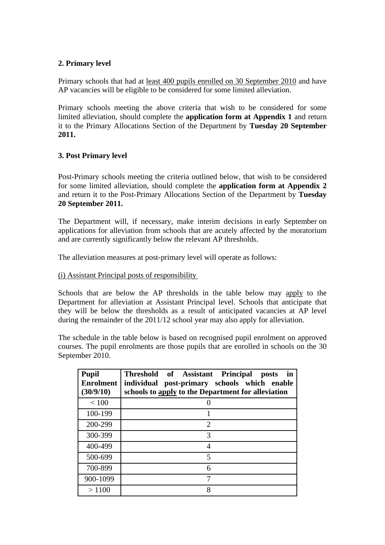## **2. Primary level**

Primary schools that had at least 400 pupils enrolled on 30 September 2010 and have AP vacancies will be eligible to be considered for some limited alleviation.

Primary schools meeting the above criteria that wish to be considered for some limited alleviation, should complete the **application form at Appendix 1** and return it to the Primary Allocations Section of the Department by **Tuesday 20 September 2011.**

# **3. Post Primary level**

Post-Primary schools meeting the criteria outlined below, that wish to be considered for some limited alleviation, should complete the **application form at Appendix 2** and return it to the Post-Primary Allocations Section of the Department by **Tuesday 20 September 2011.**

The Department will, if necessary, make interim decisions in early September on applications for alleviation from schools that are acutely affected by the moratorium and are currently significantly below the relevant AP thresholds.

The alleviation measures at post-primary level will operate as follows:

### (i) Assistant Principal posts of responsibility

Schools that are below the AP thresholds in the table below may apply to the Department for alleviation at Assistant Principal level. Schools that anticipate that they will be below the thresholds as a result of anticipated vacancies at AP level during the remainder of the 2011/12 school year may also apply for alleviation.

The schedule in the table below is based on recognised pupil enrolment on approved courses. The pupil enrolments are those pupils that are enrolled in schools on the 30 September 2010.

| <b>Pupil</b><br><b>Enrolment</b><br>(30/9/10) | Threshold of Assistant<br><b>Principal</b><br>posts<br>in<br>post-primary schools which enable<br>individual<br>schools to apply to the Department for alleviation |
|-----------------------------------------------|--------------------------------------------------------------------------------------------------------------------------------------------------------------------|
| < 100                                         |                                                                                                                                                                    |
| 100-199                                       |                                                                                                                                                                    |
| 200-299                                       | $\overline{2}$                                                                                                                                                     |
| 300-399                                       | 3                                                                                                                                                                  |
| 400-499                                       | 4                                                                                                                                                                  |
| 500-699                                       | 5                                                                                                                                                                  |
| 700-899                                       | 6                                                                                                                                                                  |
| 900-1099                                      | 7                                                                                                                                                                  |
| >1100                                         | 8                                                                                                                                                                  |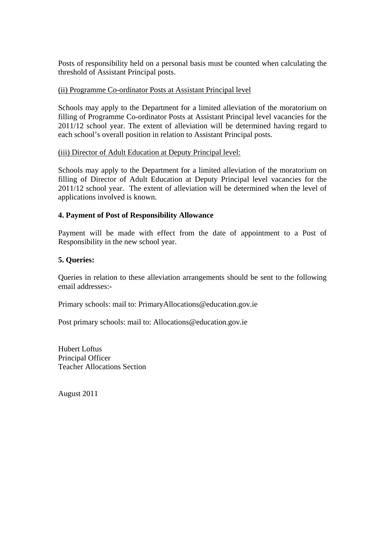Posts of responsibility held on a personal basis must be counted when calculating the threshold of Assistant Principal posts.

### (ii) Programme Co-ordinator Posts at Assistant Principal level

Schools may apply to the Department for a limited alleviation of the moratorium on filling of Programme Co-ordinator Posts at Assistant Principal level vacancies for the 2011/12 school year. The extent of alleviation will be determined having regard to each school's overall position in relation to Assistant Principal posts.

#### (iii) Director of Adult Education at Deputy Principal level:

Schools may apply to the Department for a limited alleviation of the moratorium on filling of Director of Adult Education at Deputy Principal level vacancies for the 2011/12 school year. The extent of alleviation will be determined when the level of applications involved is known.

## **4. Payment of Post of Responsibility Allowance**

Payment will be made with effect from the date of appointment to a Post of Responsibility in the new school year.

## **5. Queries:**

Queries in relation to these alleviation arrangements should be sent to the following email addresses:-

Primary schools: mail to: PrimaryAllocations@education.gov.ie

Post primary schools: mail to: Allocations@education.gov.ie

Hubert Loftus Principal Officer Teacher Allocations Section

August 2011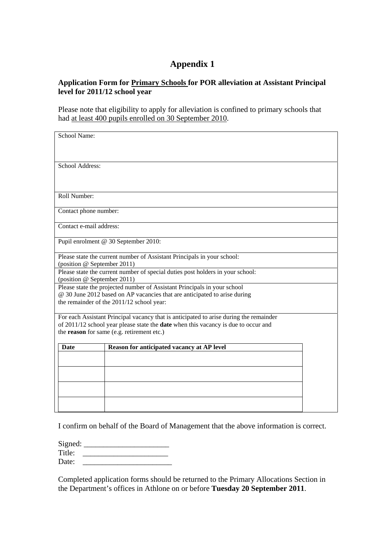# **Appendix 1**

## **Application Form for Primary Schools for POR alleviation at Assistant Principal level for 2011/12 school year**

Please note that eligibility to apply for alleviation is confined to primary schools that had at least 400 pupils enrolled on 30 September 2010.

| School Name:                                                                                                           |                                                                                        |  |
|------------------------------------------------------------------------------------------------------------------------|----------------------------------------------------------------------------------------|--|
|                                                                                                                        |                                                                                        |  |
|                                                                                                                        |                                                                                        |  |
|                                                                                                                        |                                                                                        |  |
| School Address:                                                                                                        |                                                                                        |  |
|                                                                                                                        |                                                                                        |  |
|                                                                                                                        |                                                                                        |  |
|                                                                                                                        |                                                                                        |  |
| Roll Number:                                                                                                           |                                                                                        |  |
| Contact phone number:                                                                                                  |                                                                                        |  |
|                                                                                                                        |                                                                                        |  |
| Contact e-mail address:                                                                                                |                                                                                        |  |
|                                                                                                                        |                                                                                        |  |
|                                                                                                                        | Pupil enrolment @ 30 September 2010:                                                   |  |
|                                                                                                                        |                                                                                        |  |
|                                                                                                                        | Please state the current number of Assistant Principals in your school:                |  |
| (position @ September 2011)                                                                                            |                                                                                        |  |
|                                                                                                                        | Please state the current number of special duties post holders in your school:         |  |
| (position @ September 2011)                                                                                            | Please state the projected number of Assistant Principals in your school               |  |
|                                                                                                                        |                                                                                        |  |
| @ 30 June 2012 based on AP vacancies that are anticipated to arise during<br>the remainder of the 2011/12 school year: |                                                                                        |  |
|                                                                                                                        |                                                                                        |  |
|                                                                                                                        | For each Assistant Principal vacancy that is anticipated to arise during the remainder |  |
|                                                                                                                        | of 2011/12 school year please state the date when this vacancy is due to occur and     |  |
|                                                                                                                        | the reason for same (e.g. retirement etc.)                                             |  |
|                                                                                                                        |                                                                                        |  |
| <b>Date</b>                                                                                                            | Reason for anticipated vacancy at AP level                                             |  |
|                                                                                                                        |                                                                                        |  |
|                                                                                                                        |                                                                                        |  |
|                                                                                                                        |                                                                                        |  |
|                                                                                                                        |                                                                                        |  |
|                                                                                                                        |                                                                                        |  |
|                                                                                                                        |                                                                                        |  |
|                                                                                                                        |                                                                                        |  |

I confirm on behalf of the Board of Management that the above information is correct.

 $Signed:$ Title: \_\_\_\_\_\_\_\_\_\_\_\_\_\_\_\_\_\_\_\_\_\_

Date:

Completed application forms should be returned to the Primary Allocations Section in the Department's offices in Athlone on or before **Tuesday 20 September 2011**.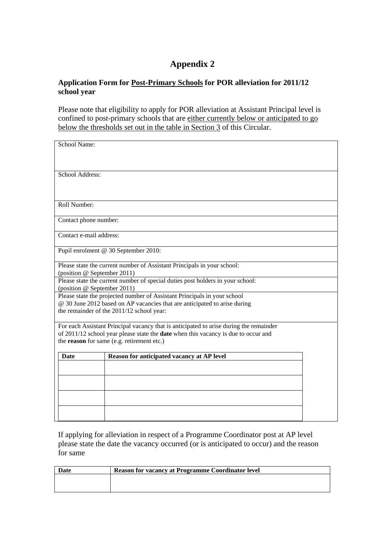# **Appendix 2**

# **Application Form for Post-Primary Schools for POR alleviation for 2011/12 school year**

Please note that eligibility to apply for POR alleviation at Assistant Principal level is confined to post-primary schools that are either currently below or anticipated to go below the thresholds set out in the table in Section 3 of this Circular.

| School Name:                |                                                                                                                                                                                                                            |  |
|-----------------------------|----------------------------------------------------------------------------------------------------------------------------------------------------------------------------------------------------------------------------|--|
| School Address:             |                                                                                                                                                                                                                            |  |
| Roll Number:                |                                                                                                                                                                                                                            |  |
| Contact phone number:       |                                                                                                                                                                                                                            |  |
| Contact e-mail address:     |                                                                                                                                                                                                                            |  |
|                             | Pupil enrolment @ 30 September 2010:                                                                                                                                                                                       |  |
| (position @ September 2011) | Please state the current number of Assistant Principals in your school:                                                                                                                                                    |  |
| (position @ September 2011) | Please state the current number of special duties post holders in your school:                                                                                                                                             |  |
|                             | Please state the projected number of Assistant Principals in your school<br>@ 30 June 2012 based on AP vacancies that are anticipated to arise during<br>the remainder of the 2011/12 school year:                         |  |
|                             | For each Assistant Principal vacancy that is anticipated to arise during the remainder<br>of 2011/12 school year please state the date when this vacancy is due to occur and<br>the reason for same (e.g. retirement etc.) |  |
| <b>Date</b>                 | Reason for anticipated vacancy at AP level                                                                                                                                                                                 |  |
|                             |                                                                                                                                                                                                                            |  |
|                             |                                                                                                                                                                                                                            |  |
|                             |                                                                                                                                                                                                                            |  |
|                             |                                                                                                                                                                                                                            |  |

If applying for alleviation in respect of a Programme Coordinator post at AP level please state the date the vacancy occurred (or is anticipated to occur) and the reason for same

| Date | <b>Reason for vacancy at Programme Coordinator level</b> |
|------|----------------------------------------------------------|
|      |                                                          |
|      |                                                          |
|      |                                                          |